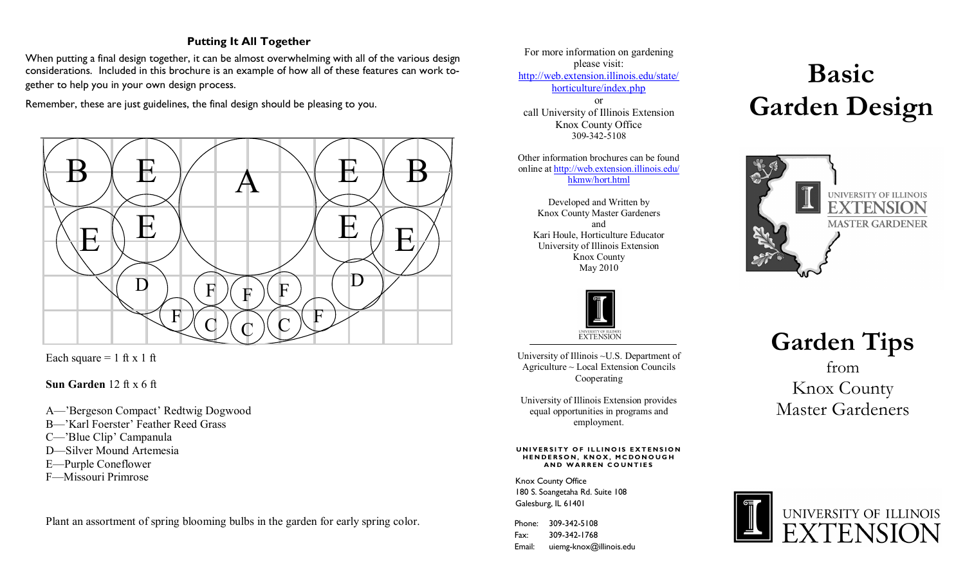# **Putting It All Together**

When putting a final design together, it can be almost overwhelming with all of the various design considerations. Included in this brochure is an example of how all of these features can work together to help you in your own design process.

Remember, these are just guidelines, the final design should be pleasing to you.



Each square  $= 1$  ft x 1 ft

**Sun Garden** 12 ft x 6 ft

A—'Bergeson Compact' Redtwig Dogwood

- B—'Karl Foerster' Feather Reed Grass
- C—'Blue Clip' Campanula
- D—Silver Mound Artemesia
- E—Purple Coneflower
- F—Missouri Primrose

Plant an assortment of spring blooming bulbs in the garden for early spring color.

For more information on gardening please visit: [http://web.extension.illinois.edu/state/](http://web.extension.illinois.edu/state/horticulture/index.php) [horticulture/index.php](http://web.extension.illinois.edu/state/horticulture/index.php) or call University of Illinois Extension Knox County Office 309-342-5108

Other information brochures can be found online at [http://web.extension.illinois.edu/](http://web.extension.illinois.edu/hkmw/hort.html) [hkmw/hort.html](http://web.extension.illinois.edu/hkmw/hort.html)

Developed and Written by Knox County Master Gardeners and Kari Houle, Horticulture Educator University of Illinois Extension Knox County May 2010



University of Illinois ~U.S. Department of Agriculture ~ Local Extension Councils Cooperating

University of Illinois Extension provides equal opportunities in programs and employment.

**UNIVERSITY OF ILLINOIS EXTENSION** HENDERSON, KNOX, MCDONOUGH **AND WARREN COUNTIES** 

Knox County Office 180 S. Soangetaha Rd. Suite 108 Galesburg, IL 61401

Phone: 309-342-5108 Fax: 309-342-1768 Email: uiemg-knox@illinois.edu

# **Basic Garden Design**



**Garden Tips** from Knox County Master Gardeners